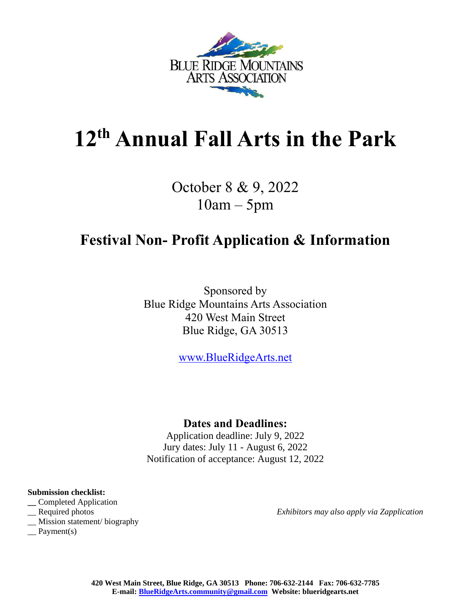

# **12 th Annual Fall Arts in the Park**

October 8 & 9, 2022 10am – 5pm

# **Festival Non- Profit Application & Information**

Sponsored by Blue Ridge Mountains Arts Association 420 West Main Street Blue Ridge, GA 30513

[www.BlueRidgeArts.net](http://www.blueridgearts.net/)

## **Dates and Deadlines:**

Application deadline: July 9, 2022 Jury dates: July 11 - August 6, 2022 Notification of acceptance: August 12, 2022

#### **Submission checklist:**

- **\_\_** Completed Application
- 
- \_\_ Mission statement/ biography
- $\equiv$  Payment(s)

\_\_ Required photos *Exhibitors may also apply via Zapplication*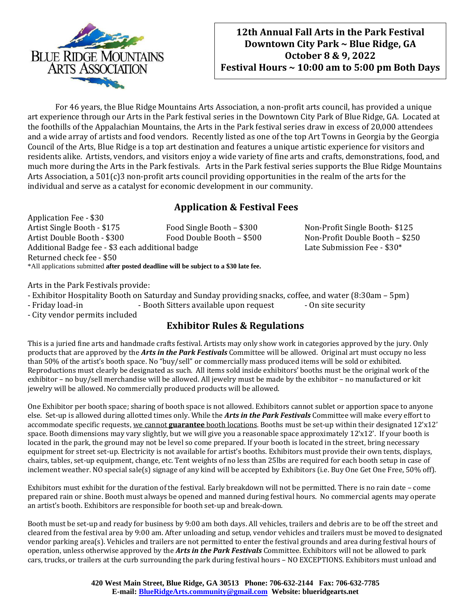

### **12th Annual Fall Arts in the Park Festival Downtown City Park ~ Blue Ridge, GA October 8 & 9, 2022 Festival Hours ~ 10:00 am to 5:00 pm Both Days**

For 46 years, the Blue Ridge Mountains Arts Association, a non-profit arts council, has provided a unique art experience through our Arts in the Park festival series in the Downtown City Park of Blue Ridge, GA. Located at the foothills of the Appalachian Mountains, the Arts in the Park festival series draw in excess of 20,000 attendees and a wide array of artists and food vendors. Recently listed as one of the top Art Towns in Georgia by the Georgia Council of the Arts, Blue Ridge is a top art destination and features a unique artistic experience for visitors and residents alike. Artists, vendors, and visitors enjoy a wide variety of fine arts and crafts, demonstrations, food, and much more during the Arts in the Park festivals. Arts in the Park festival series supports the Blue Ridge Mountains Arts Association, a 501(c)3 non-profit arts council providing opportunities in the realm of the arts for the individual and serve as a catalyst for economic development in our community.

### **Application & Festival Fees**

Application Fee - \$30 Artist Single Booth - \$175 Food Single Booth - \$300 Non-Profit Single Booth- \$125 Artist Double Booth - \$300 Food Double Booth – \$500 Non-Profit Double Booth – \$250 Additional Badge fee - \$3 each additional badge Late Submission Fee - \$30\* Returned check fee - \$50 \*All applications submitted **after posted deadline will be subject to a \$30 late fee.**

Arts in the Park Festivals provide:

- Exhibitor Hospitality Booth on Saturday and Sunday providing snacks, coffee, and water (8:30am – 5pm)

- Friday load-in - Booth Sitters available upon request - On site security

- City vendor permits included

#### **Exhibitor Rules & Regulations**

This is a juried fine arts and handmade crafts festival. Artists may only show work in categories approved by the jury. Only products that are approved by the *Arts in the Park Festivals* Committee will be allowed. Original art must occupy no less than 50% of the artist's booth space. No "buy/sell" or commercially mass produced items will be sold or exhibited. Reproductions must clearly be designated as such. All items sold inside exhibitors' booths must be the original work of the exhibitor – no buy/sell merchandise will be allowed. All jewelry must be made by the exhibitor – no manufactured or kit jewelry will be allowed. No commercially produced products will be allowed.

One Exhibitor per booth space; sharing of booth space is not allowed. Exhibitors cannot sublet or apportion space to anyone else. Set-up is allowed during allotted times only. While the *Arts in the Park Festivals* Committee will make every effort to accommodate specific requests, we cannot **guarantee** booth locations. Booths must be set-up within their designated 12'x12' space. Booth dimensions may vary slightly, but we will give you a reasonable space approximately 12'x12'. If your booth is located in the park, the ground may not be level so come prepared. If your booth is located in the street, bring necessary equipment for street set-up. Electricity is not available for artist's booths. Exhibitors must provide their own tents, displays, chairs, tables, set-up equipment, change, etc. Tent weights of no less than 25lbs are required for each booth setup in case of inclement weather. NO special sale(s) signage of any kind will be accepted by Exhibitors (i.e. Buy One Get One Free, 50% off).

Exhibitors must exhibit for the duration of the festival. Early breakdown will not be permitted. There is no rain date – come prepared rain or shine. Booth must always be opened and manned during festival hours. No commercial agents may operate an artist's booth. Exhibitors are responsible for booth set-up and break-down.

Booth must be set-up and ready for business by 9:00 am both days. All vehicles, trailers and debris are to be off the street and cleared from the festival area by 9:00 am. After unloading and setup, vendor vehicles and trailers must be moved to designated vendor parking area(s). Vehicles and trailers are not permitted to enter the festival grounds and area during festival hours of operation, unless otherwise approved by the *Arts in the Park Festivals* Committee. Exhibitors will not be allowed to park cars, trucks, or trailers at the curb surrounding the park during festival hours – NO EXCEPTIONS. Exhibitors must unload and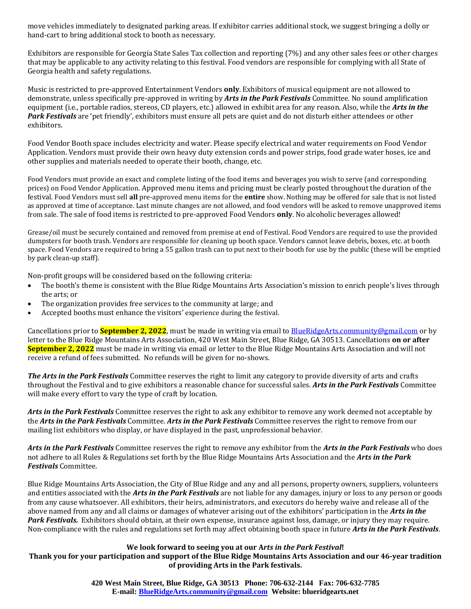move vehicles immediately to designated parking areas. If exhibitor carries additional stock, we suggest bringing a dolly or hand-cart to bring additional stock to booth as necessary.

Exhibitors are responsible for Georgia State Sales Tax collection and reporting (7%) and any other sales fees or other charges that may be applicable to any activity relating to this festival. Food vendors are responsible for complying with all State of Georgia health and safety regulations.

Music is restricted to pre-approved Entertainment Vendors **only**. Exhibitors of musical equipment are not allowed to demonstrate, unless specifically pre-approved in writing by *Arts in the Park Festivals* Committee. No sound amplification equipment (i.e., portable radios, stereos, CD players, etc.) allowed in exhibit area for any reason. Also, while the *Arts in the Park Festivals* are 'pet friendly', exhibitors must ensure all pets are quiet and do not disturb either attendees or other exhibitors.

Food Vendor Booth space includes electricity and water. Please specify electrical and water requirements on Food Vendor Application. Vendors must provide their own heavy duty extension cords and power strips, food grade water hoses, ice and other supplies and materials needed to operate their booth, change, etc.

Food Vendors must provide an exact and complete listing of the food items and beverages you wish to serve (and corresponding prices) on Food Vendor Application. Approved menu items and pricing must be clearly posted throughout the duration of the festival. Food Vendors must sell **all** pre-approved menu items for the **entire** show. Nothing may be offered for sale that is not listed as approved at time of acceptance. Last minute changes are not allowed, and food vendors will be asked to remove unapproved items from sale. The sale of food items is restricted to pre-approved Food Vendors **only**. No alcoholic beverages allowed!

Grease/oil must be securely contained and removed from premise at end of Festival. Food Vendors are required to use the provided dumpsters for booth trash. Vendors are responsible for cleaning up booth space. Vendors cannot leave debris, boxes, etc. at booth space. Food Vendors are required to bring a 55 gallon trash can to put next to their booth for use by the public (these will be emptied by park clean-up staff).

Non-profit groups will be considered based on the following criteria:

- The booth's theme is consistent with the Blue Ridge Mountains Arts Association's mission to enrich people's lives through the arts; or
- The organization provides free services to the community at large; and
- Accepted booths must enhance the visitors' experience during the festival.

Cancellations prior to **September 2, 2022**, must be made in writing via email t[o BlueRidgeArts.community@gmail.com](mailto:BlueRidgeArts.community@gmail.com) or by letter to the Blue Ridge Mountains Arts Association, 420 West Main Street, Blue Ridge, GA 30513. Cancellations **on or after September 2, 2022** must be made in writing via email or letter to the Blue Ridge Mountains Arts Association and will not receive a refund of fees submitted. No refunds will be given for no-shows.

*The Arts in the Park Festivals* Committee reserves the right to limit any category to provide diversity of arts and crafts throughout the Festival and to give exhibitors a reasonable chance for successful sales. *Arts in the Park Festivals* Committee will make every effort to vary the type of craft by location.

*Arts in the Park Festivals* Committee reserves the right to ask any exhibitor to remove any work deemed not acceptable by the *Arts in the Park Festivals* Committee. *Arts in the Park Festivals* Committee reserves the right to remove from our mailing list exhibitors who display, or have displayed in the past, unprofessional behavior.

*Arts in the Park Festivals* Committee reserves the right to remove any exhibitor from the *Arts in the Park Festivals* who does not adhere to all Rules & Regulations set forth by the Blue Ridge Mountains Arts Association and the *Arts in the Park Festivals* Committee.

Blue Ridge Mountains Arts Association, the City of Blue Ridge and any and all persons, property owners, suppliers, volunteers and entities associated with the *Arts in the Park Festivals* are not liable for any damages, injury or loss to any person or goods from any cause whatsoever. All exhibitors, their heirs, administrators, and executors do hereby waive and release all of the above named from any and all claims or damages of whatever arising out of the exhibitors' participation in the *Arts in the Park Festivals.* Exhibitors should obtain, at their own expense, insurance against loss, damage, or injury they may require. Non-compliance with the rules and regulations set forth may affect obtaining booth space in future *Arts in the Park Festivals*.

#### **We look forward to seeing you at our A***rts in the Park Festival***!**

**Thank you for your participation and support of the Blue Ridge Mountains Arts Association and our 46-year tradition of providing Arts in the Park festivals.**

> **420 West Main Street, Blue Ridge, GA 30513 Phone: 706-632-2144 Fax: 706-632-7785 E-mail: [BlueRidgeArts.community@gmail.com](mailto:BlueRidgeArts.community@gmail.com) Website: blueridgearts.net**